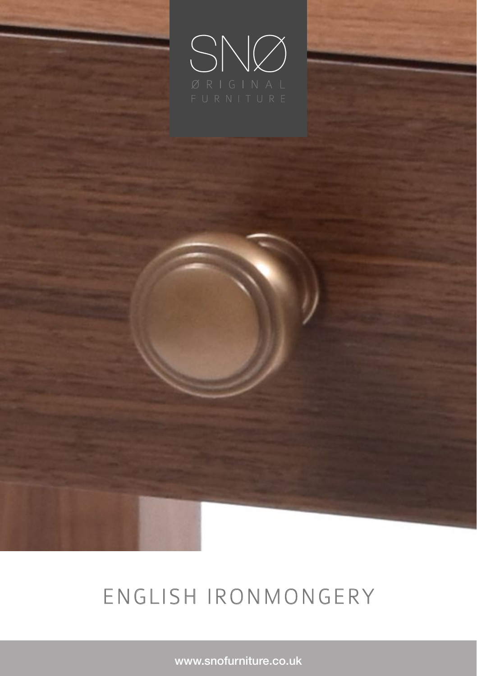

# ENGLISH IRONMONGERY

www.snofurniture.co.uk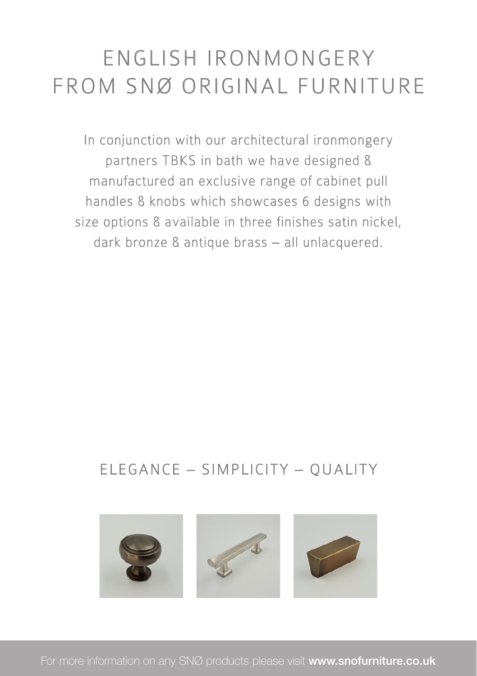## ENGLISH IRONMONGERY FROM SNØ ORIGINAL FURNITURE

In conjunction with our architectural ironmongery partners TBKS in bath we have designed & manufactured an exclusive range of cabinet pull handles & knobs which showcases 6 designs with size options & available in three finishes satin nickel, dark bronze & antique brass – all unlacquered.

#### ELEGANCE – SIMPLICITY – QUALITY



For more information on any SNØ products please visit www.snofurniture.co.uk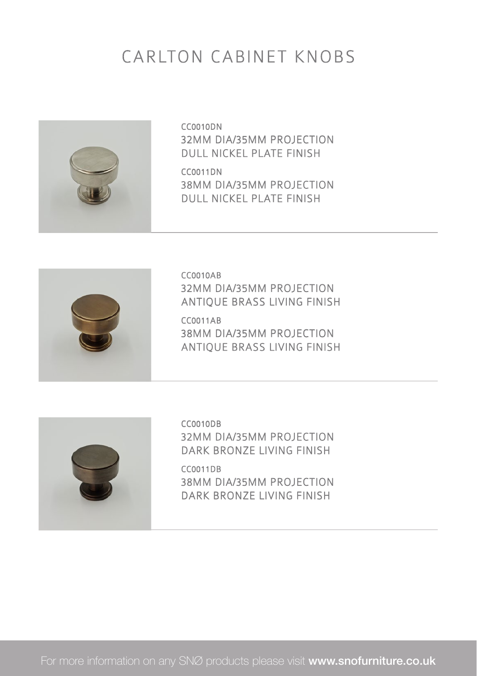#### CARLTON CABINET KNOBS



CC0010DN 32MM DIA/35MM PROJECTION DULL NICKEL PLATE FINISH

CC0011DN 38MM DIA/35MM PROJECTION DULL NICKEL PLATE FINISH



CC0010AB 32MM DIA/35MM PROJECTION ANTIQUE BRASS LIVING FINISH

CC0011AB 38MM DIA/35MM PROJECTION ANTIQUE BRASS LIVING FINISH



CC0010DB 32MM DIA/35MM PROJECTION DARK BRONZE LIVING FINISH

CC0011DB 38MM DIA/35MM PROJECTION DARK BRONZE LIVING FINISH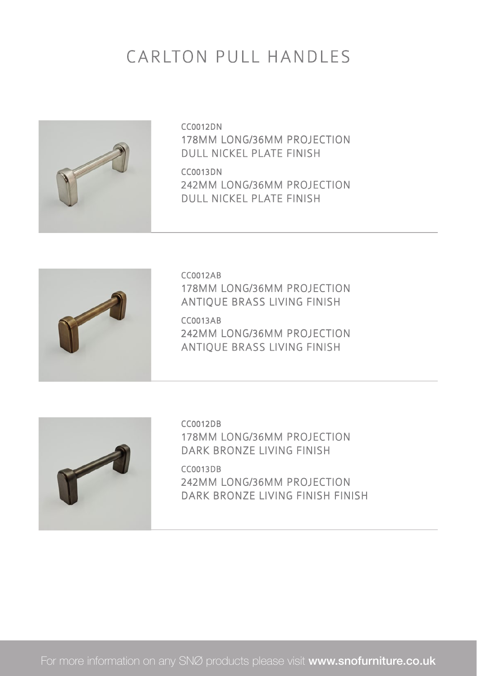#### CARLTON PULL HANDLES



CC0012DN 178MM LONG/36MM PROJECTION DULL NICKEL PLATE FINISH

CC0013DN 242MM LONG/36MM PROJECTION DULL NICKEL PLATE FINISH



CC0012AB 178MM LONG/36MM PROJECTION ANTIQUE BRASS LIVING FINISH

CC0013AB 242MM LONG/36MM PROJECTION ANTIQUE BRASS LIVING FINISH



CC0012DB 178MM LONG/36MM PROJECTION DARK BRONZE LIVING FINISH

CC0013DB 242MM LONG/36MM PROJECTION DARK BRONZE LIVING FINISH FINISH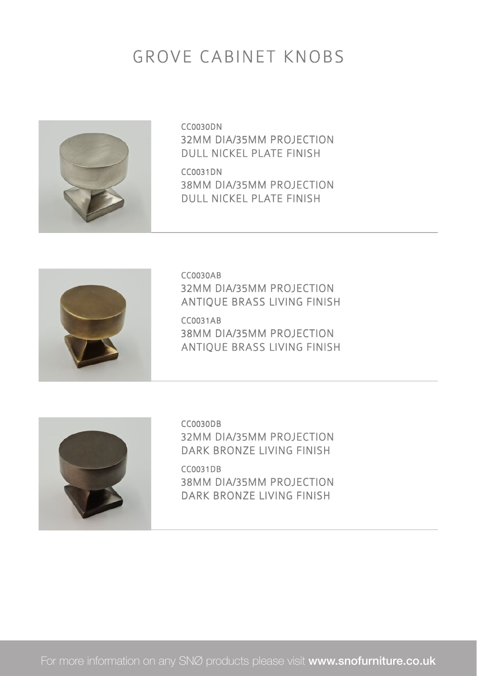#### GROVE CABINET KNOBS



CC0030DN 32MM DIA/35MM PROJECTION DULL NICKEL PLATE FINISH

CC0031DN 38MM DIA/35MM PROJECTION DULL NICKEL PLATE FINISH



CC0030AB 32MM DIA/35MM PROJECTION ANTIQUE BRASS LIVING FINISH

CC0031AB 38MM DIA/35MM PROJECTION ANTIQUE BRASS LIVING FINISH



CC0030DB 32MM DIA/35MM PROJECTION DARK BRONZE LIVING FINISH

CC0031DB 38MM DIA/35MM PROJECTION DARK BRONZE LIVING FINISH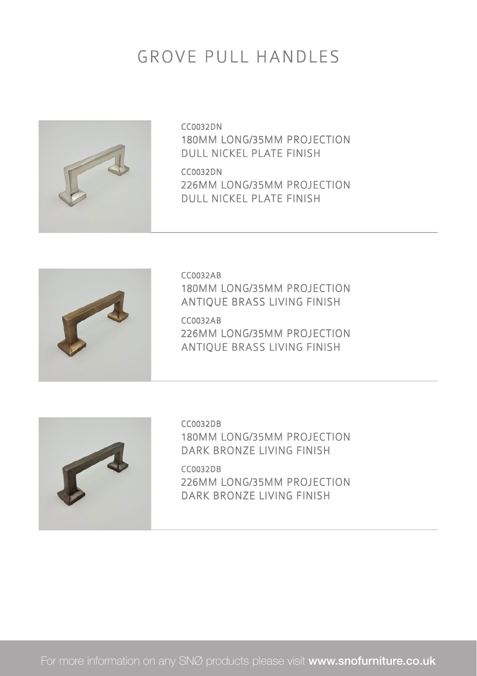#### GROVE PULL HANDLES



CC0032DN 180MM LONG/35MM PROJECTION DULL NICKEL PLATE FINISH

CC0032DN 226MM LONG/35MM PROJECTION DULL NICKEL PLATE FINISH



CC0032AB 180MM LONG/35MM PROJECTION ANTIQUE BRASS LIVING FINISH

CC0032AB 226MM LONG/35MM PROJECTION ANTIQUE BRASS LIVING FINISH



CC0032DB 180MM LONG/35MM PROJECTION DARK BRONZE LIVING FINISH

CC0032DB 226MM LONG/35MM PROJECTION DARK BRONZE LIVING FINISH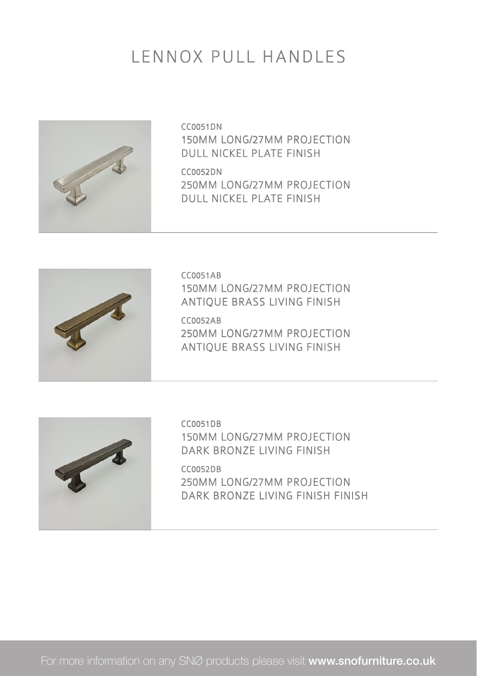#### LENNOX PULL HANDLES



CC0051DN 150MM LONG/27MM PROJECTION DULL NICKEL PLATE FINISH

CC0052DN 250MM LONG/27MM PROJECTION DULL NICKEL PLATE FINISH



CC0051AB 150MM LONG/27MM PROJECTION ANTIQUE BRASS LIVING FINISH

CC0052AB 250MM LONG/27MM PROJECTION ANTIQUE BRASS LIVING FINISH



CC0051DB 150MM LONG/27MM PROJECTION DARK BRONZE LIVING FINISH

CC0052DB 250MM LONG/27MM PROJECTION DARK BRONZE LIVING FINISH FINISH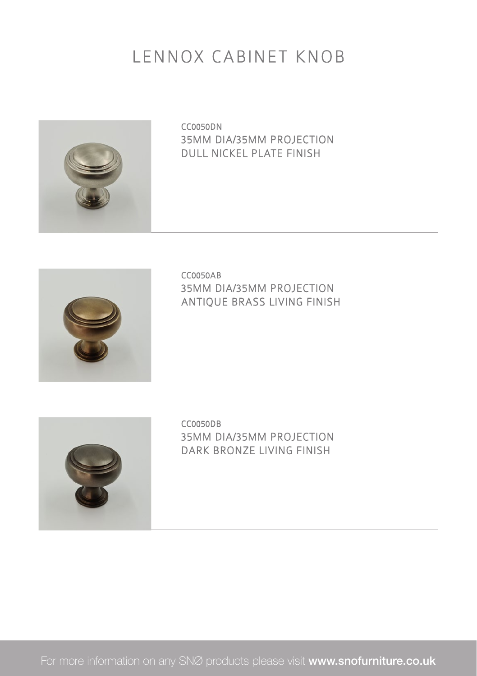#### LENNOX CABINET KNOB



CC0050DN 35MM DIA/35MM PROJECTION DULL NICKEL PLATE FINISH



CC0050AB 35MM DIA/35MM PROJECTION ANTIQUE BRASS LIVING FINISH



CC0050DB 35MM DIA/35MM PROJECTION DARK BRONZE LIVING FINISH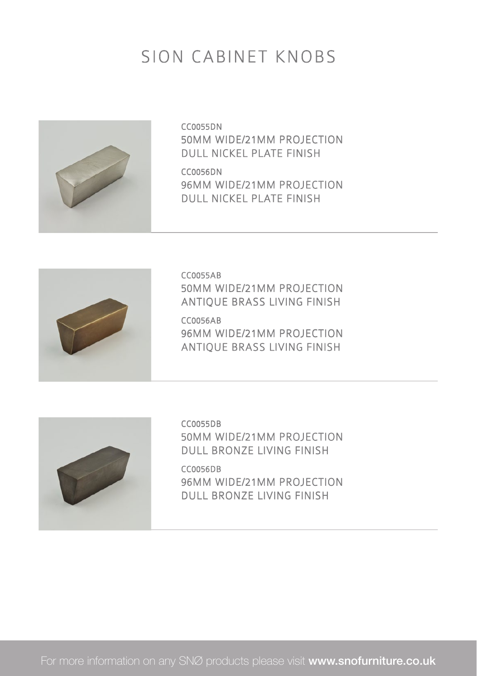#### SION CABINET KNOBS



CC0055DN 50MM WIDE/21MM PROJECTION DULL NICKEL PLATE FINISH

CC0056DN 96MM WIDE/21MM PROJECTION DULL NICKEL PLATE FINISH



CC0055AB 50MM WIDE/21MM PROJECTION ANTIQUE BRASS LIVING FINISH

CC0056AB 96MM WIDE/21MM PROJECTION ANTIQUE BRASS LIVING FINISH



CC0055DB 50MM WIDE/21MM PROJECTION DULL BRONZE LIVING FINISH

CC0056DB 96MM WIDE/21MM PROJECTION DULL BRONZE LIVING FINISH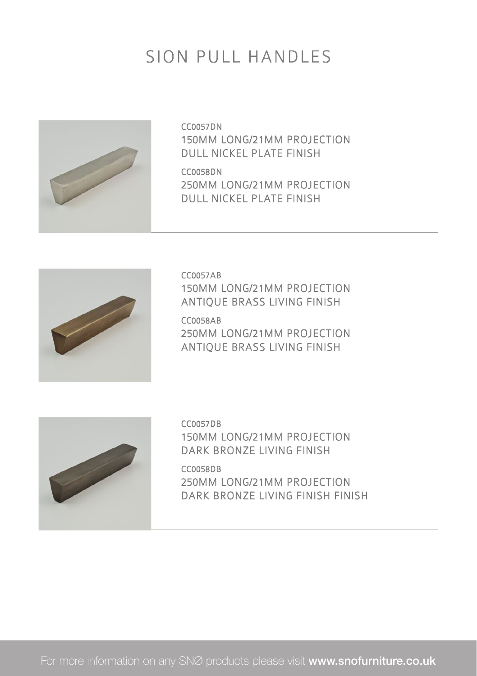#### SION PULL HANDLES



CC0057DN 150MM LONG/21MM PROJECTION DULL NICKEL PLATE FINISH

CC0058DN 250MM LONG/21MM PROJECTION DULL NICKEL PLATE FINISH



CC0057AB 150MM LONG/21MM PROJECTION ANTIQUE BRASS LIVING FINISH

CC0058AB 250MM LONG/21MM PROJECTION ANTIQUE BRASS LIVING FINISH



CC0057DB 150MM LONG/21MM PROJECTION DARK BRONZE LIVING FINISH

CC0058DB 250MM LONG/21MM PROJECTION DARK BRONZE LIVING FINISH FINISH